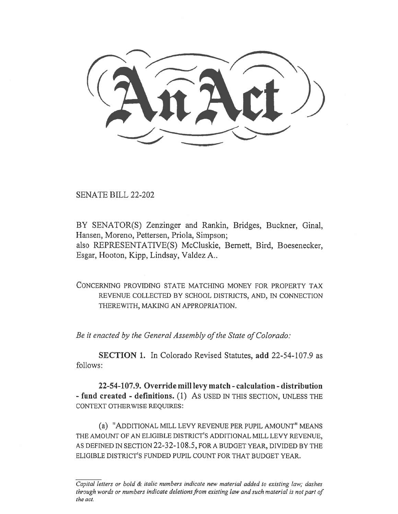SENATE BILL 22-202

BY SENATOR(S) Zenzinger and Rankin, Bridges, Buckner, Ginal, Hansen, Moreno, Pettersen, Priola, Simpson; also REPRESENTATIVE(S) McCluskie, Bernett, Bird, Boesenecker, Esgar, Hooton, Kipp, Lindsay, Valdez A..

CONCERNING PROVIDING STATE MATCHING MONEY FOR PROPERTY TAX REVENUE COLLECTED BY SCHOOL DISTRICTS, AND, IN CONNECTION THEREWITH, MAKING AN APPROPRIATION.

Be it enacted by the General Assembly of the State of Colorado:

SECTION 1. In Colorado Revised Statutes, add 22-54-107.9 as follows:

22-54-107.9. Override mill levy match - calculation - distribution - fund created - definitions. (1) AS USED IN THIS SECTION, UNLESS THE CONTEXT OTHERWISE REQUIRES:

(a) "ADDITIONAL MILL LEVY REVENUE PER PUPIL AMOUNT" MEANS THE AMOUNT OF AN ELIGIBLE DISTRICT'S ADDITIONAL MILL LEVY REVENUE, AS DEFINED IN SECTION 22-32-108.5, FOR A BUDGET YEAR, DIVIDED BY THE ELIGIBLE DISTRICT'S FUNDED PUPIL COUNT FOR THAT BUDGET YEAR.

Capital letters or bold & italic numbers indicate new material added to existing law; dashes through words or numbers indicate deletions from existing law and such material is not part of the act.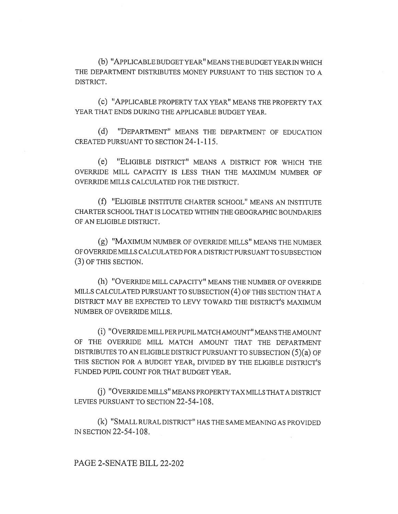(b) "APPLICABLE BUDGET YEAR" MEANS THE BUDGET YEAR IN WHICH THE DEPARTMENT DISTRIBUTES MONEY PURSUANT TO THIS SECTION TO A DISTRICT.

(C) "APPLICABLE PROPERTY TAX YEAR" MEANS THE PROPERTY TAX YEAR THAT ENDS DURING THE APPLICABLE BUDGET YEAR.

(d) "DEPARTMENT" MEANS THE DEPARTMENT OF EDUCATION CREATED PURSUANT TO SECTION 24-1-115.

(e) "ELIGIBLE DISTRICT" MEANS A DISTRICT FOR WHICH THE OVERRIDE MILL CAPACITY IS LESS THAN THE MAXIMUM NUMBER OF OVERRIDE MILLS CALCULATED FOR THE DISTRICT.

(f) "ELIGIBLE INSTITUTE CHARTER SCHOOL" MEANS AN INSTITUTE CHARTER SCHOOL THAT IS LOCATED WITHIN THE GEOGRAPHIC BOUNDARIES OF AN ELIGIBLE DISTRICT.

(g) "MAXIMUM NUMBER OF OVERRIDE MILLS" MEANS THE NUMBER OF OVERRIDE MILLS CALCULATED FOR A DISTRICT PURSUANT TO SUBSECTION (3) OF THIS SECTION.

(h) "OVERRIDE MILL CAPACITY" MEANS THE NUMBER OF OVERRIDE MILLS CALCULATED PURSUANT TO SUBSECTION (4) OF THIS SECTION THAT A DISTRICT MAY BE EXPECTED TO LEVY TOWARD THE DISTRICT'S MAXIMUM NUMBER OF OVERRIDE MILLS.

(i) "OVERRIDE MILL PER PUPIL MATCH AMOUNT" MEANS THE AMOUNT OF THE OVERRIDE MILL MATCH AMOUNT THAT THE DEPARTMENT DISTRIBUTES TO AN ELIGIBLE DISTRICT PURSUANT TO SUBSECTION (5)(a) OF THIS SECTION FOR A BUDGET YEAR, DIVIDED BY THE ELIGIBLE DISTRICT'S FUNDED PUPIL COUNT FOR THAT BUDGET YEAR.

(j) "OVERRIDE MILLS" MEANS PROPERTY TAX MILLS THAT A DISTRICT LEVIES PURSUANT TO SECTION 22-54-108.

(k) "SMALL RURAL DISTRICT" HAS THE SAME MEANING AS PROVIDED IN SECTION 22-54-108.

## PAGE 2-SENATE BILL 22-202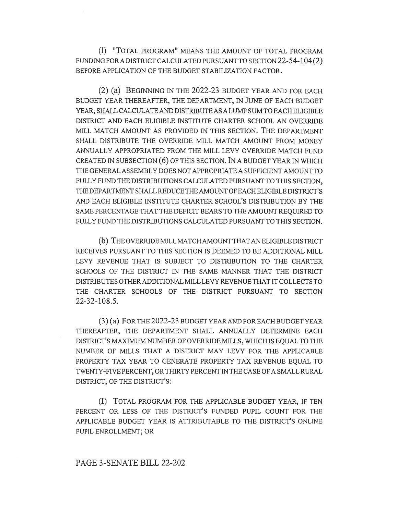(1) "TOTAL PROGRAM" MEANS THE AMOUNT OF TOTAL PROGRAM FUNDING FOR A DISTRICT CALCULATED PURSUANT TO SECTION 22-54-104 (2) BEFORE APPLICATION OF THE BUDGET STABILIZATION FACTOR.

(2) (a) BEGINNING IN THE 2022-23 BUDGET YEAR AND FOR EACH BUDGET YEAR THEREAFTER, THE DEPARTMENT, IN JUNE OF EACH BUDGET YEAR, SHALL CALCULATE AND DISTRIBUTE AS A LUMP SUM TO EACH ELIGIBLE DISTRICT AND EACH ELIGIBLE INSTITUTE CHARTER SCHOOL AN OVERRIDE MILL MATCH AMOUNT AS PROVIDED IN THIS SECTION. THE DEPARTMENT SHALL DISTRIBUTE THE OVERRIDE MILL MATCH AMOUNT FROM MONEY ANNUALLY APPROPRIATED FROM THE MILL LEVY OVERRIDE MATCH FUND CREATED IN SUBSECTION (6) OF THIS SECTION. IN A BUDGET YEAR IN WHICH THE GENERAL ASSEMBLY DOES NOT APPROPRIATE A SUFFICIENT AMOUNT TO FULLY FUND THE DISTRIBUTIONS CALCULATED PURSUANT TO THIS SECTION, THE DEPARTMENT SHALL REDUCE THE AMOUNT OF EACH ELIGIBLE DISTRICT'S AND EACH ELIGIBLE INSTITUTE CHARTER SCHOOL'S DISTRIBUTION BY THE SAME PERCENTAGE THAT THE DEFICIT BEARS TO THE AMOUNT REQUIRED TO FULLY FUND THE DISTRIBUTIONS CALCULATED PURSUANT TO THIS SECTION.

(b) THE OVERRIDE MILL MATCH AMOUNT THAT AN ELIGIBLE DISTRICT RECEIVES PURSUANT TO THIS SECTION IS DEEMED TO BE ADDITIONAL MILL LEVY REVENUE THAT IS SUBJECT TO DISTRIBUTION TO THE CHARTER SCHOOLS OF THE DISTRICT IN THE SAME MANNER THAT THE DISTRICT DISTRIBUTES OTHER ADDITIONAL MILL LEVY REVENUE THAT IT COLLECTS TO THE CHARTER SCHOOLS OF THE DISTRICT PURSUANT TO SECTION 22-32-108.5.

(3) (a) FOR THE 2022-23 BUDGET YEAR AND FOR EACH BUDGET YEAR THEREAFTER, THE DEPARTMENT SHALL ANNUALLY DETERMINE EACH DISTRICT'S MAXIMUM NUMBER OF OVERRIDE MILLS, WHICH IS EQUAL TO THE NUMBER OF MILLS THAT A DISTRICT MAY LEVY FOR THE APPLICABLE PROPERTY TAX YEAR TO GENERATE PROPERTY TAX REVENUE EQUAL TO TWENTY-FIVE PERCENT, OR THIRTY PERCENT IN THE CASE OF A SMALL RURAL DISTRICT, OF THE DISTRICT'S:

(I) TOTAL PROGRAM FOR THE APPLICABLE BUDGET YEAR, IF TEN PERCENT OR LESS OF THE DISTRICT'S FUNDED PUPIL COUNT FOR THE APPLICABLE BUDGET YEAR IS ATTRIBUTABLE TO THE DISTRICT'S ONLINE PUPIL ENROLLMENT; OR

## PAGE 3-SENATE BILL 22-202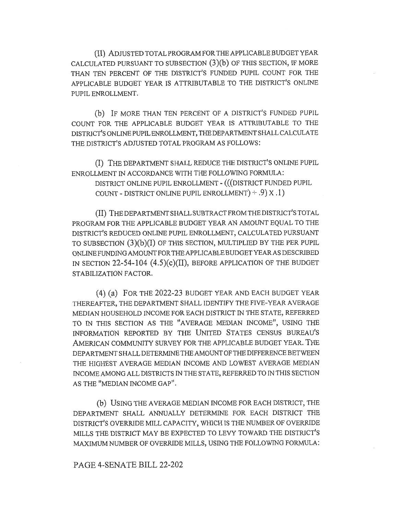(II) ADJUSTED TOTAL PROGRAM FOR THE APPLICABLE BUDGET YEAR CALCULATED PURSUANT TO SUBSECTION (3)(b) OF THIS SECTION, IF MORE THAN TEN PERCENT OF THE DISTRICT'S FUNDED PUPIL COUNT FOR THE APPLICABLE BUDGET YEAR IS ATTRIBUTABLE TO THE DISTRICT'S ONLINE PUPIL ENROLLMENT.

(b) IF MORE THAN TEN PERCENT OF A DISTRICT'S FUNDED PUPIL COUNT FOR THE APPLICABLE BUDGET YEAR IS ATTRIBUTABLE TO THE DISTRICT'S ONLINE PUPIL ENROLLMENT, THE DEPARTMENT SHALL CALCULATE THE DISTRICT'S ADJUSTED TOTAL PROGRAM AS FOLLOWS:

(I) THE DEPARTMENT SHALL REDUCE THE DISTRICT'S ONLINE PUPIL ENROLLMENT IN ACCORDANCE WITH THE FOLLOWING FORMULA:

DISTRICT ONLINE PUPIL ENROLLMENT - (((DISTRICT FUNDED PUPIL COUNT - DISTRICT ONLINE PUPIL ENROLLMENT) ± .9) x .1)

(II) THE DEPARTMENT SHALL SUBTRACT FROM THE DISTRICT'S TOTAL PROGRAM FOR THE APPLICABLE BUDGET YEAR AN AMOUNT EQUAL TO THE DISTRICT'S REDUCED ONLINE PUPIL ENROLLMENT, CALCULATED PURSUANT TO SUBSECTION (3)(b)(I) OF THIS SECTION, MULTIPLIED BY THE PER PUPIL ONLINE FUNDING AMOUNT FOR THE APPLICABLE BUDGET YEAR AS DESCRIBED IN SECTION 22-54-104 (4.5)(c)(II), BEFORE APPLICATION OF THE BUDGET STABILIZATION FACTOR.

(4) (a) FOR THE 2022-23 BUDGET YEAR AND EACH BUDGET YEAR THEREAFTER, THE DEPARTMENT SHALL IDENTIFY THE FIVE-YEAR AVERAGE MEDIAN HOUSEHOLD INCOME FOR EACH DISTRICT IN THE STATE, REFERRED TO IN THIS SECTION AS THE "AVERAGE MEDIAN INCOME", USING THE INFORMATION REPORTED BY THE UNITED STATES CENSUS BUREAU'S AMERICAN COMMUNITY SURVEY FOR THE APPLICABLE BUDGET YEAR. THE DEPARTMENT SHALL DETERMINE THE AMOUNT OF THE DIFFERENCE BETWEEN THE HIGHEST AVERAGE MEDIAN INCOME AND LOWEST AVERAGE MEDIAN INCOME AMONG ALL DISTRICTS IN THE STATE, REFERRED TO IN THIS SECTION AS THE "MEDIAN INCOME GAP".

(b) USING THE AVERAGE MEDIAN INCOME FOR EACH DISTRICT, THE DEPARTMENT SHALL ANNUALLY DETERMINE FOR EACH DISTRICT THE DISTRICT'S OVERRIDE MILL CAPACITY, WHICH IS THE NUMBER OF OVERRIDE MILLS THE DISTRICT MAY BE EXPECTED TO LEVY TOWARD THE DISTRICT'S MAXIMUM NUMBER OF OVERRIDE MILLS, USING THE FOLLOWING FORMULA:

## PAGE 4-SENATE BILL 22-202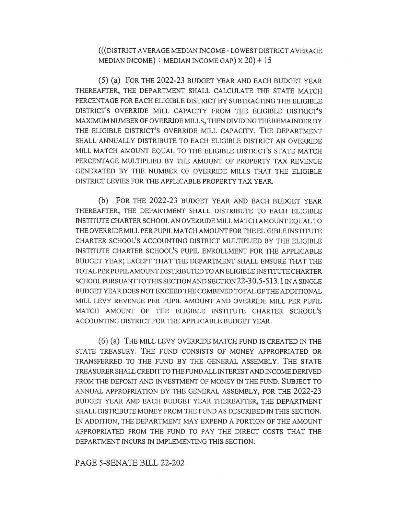(((DISTRICT AVERAGE MEDIAN INCOME - LOWEST DISTRICT AVERAGE MEDIAN INCOME)  $\div$  MEDIAN INCOME GAP)  $x 20$ ) + 15

(5) (a) FOR THE 2022-23 BUDGET YEAR AND EACH BUDGET YEAR THEREAFTER, THE DEPARTMENT SHALL CALCULATE THE STATE MATCH PERCENTAGE FOR EACH ELIGIBLE DISTRICT BY SUBTRACTING THE ELIGIBLE DISTRICT'S OVERRIDE MILL CAPACITY FROM THE ELIGIBLE DISTRICT'S MAXIMUM NUMBER OF OVERRIDE MILLS, THEN DIVIDING THE REMAINDER BY THE ELIGIBLE DISTRICT'S OVERRIDE MILL CAPACITY. THE DEPARTMENT SHALL ANNUALLY DISTRIBUTE TO EACH ELIGIBLE DISTRICT AN OVERRIDE MILL MATCH AMOUNT EQUAL TO THE ELIGIBLE DISTRICT'S STATE MATCH PERCENTAGE MULTIPLIED BY THE AMOUNT OF PROPERTY TAX REVENUE GENERATED BY THE NUMBER OF OVERRIDE MILLS THAT THE ELIGIBLE DISTRICT LEVIES FOR THE APPLICABLE PROPERTY TAX YEAR.

(b) FOR THE 2022-23 BUDGET YEAR AND EACH BUDGET YEAR THEREAFTER, THE DEPARTMENT SHALL DISTRIBUTE TO EACH ELIGIBLE INSTITUTE CHARTER SCHOOL AN OVERRIDE MILL MATCH AMOUNT EQUAL TO THE OVERRIDE MILL PER PUPIL MATCH AMOUNT FOR THE ELIGIBLE INSTITUTE CHARTER SCHOOL'S ACCOUNTING DISTRICT MULTIPLIED BY THE ELIGIBLE INSTITUTE CHARTER SCHOOL'S PUPIL ENROLLMENT FOR THE APPLICABLE BUDGET YEAR; EXCEPT THAT THE DEPARTMENT SHALL ENSURE THAT THE TOTAL PER PUPIL AMOUNT DISTRIBUTED TO AN ELIGIBLE INSTITUTE CHARTER SCHOOL PURSUANT TO THIS SECTION AND SECTION 22-30.5-513.1 IN A SINGLE BUDGET YEAR DOES NOT EXCEED THE COMBINED TOTAL OF THE ADDITIONAL MILL LEVY REVENUE PER PUPIL AMOUNT AND OVERRIDE MILL PER PUPIL MATCH AMOUNT OF THE ELIGIBLE INSTITUTE CHARTER SCHOOL'S ACCOUNTING DISTRICT FOR THE APPLICABLE BUDGET YEAR.

(6) (a) THE MILL LEVY OVERRIDE MATCH FUND IS CREATED IN THE STATE TREASURY. THE FUND CONSISTS OF MONEY APPROPRIATED OR TRANSFERRED TO THE FUND BY THE GENERAL ASSEMBLY. THE STATE TREASURER SHALL CREDIT TO THE FUND ALL INTEREST AND INCOME DERIVED FROM THE DEPOSIT AND INVESTMENT OF MONEY IN THE FUND. SUBJECT TO ANNUAL APPROPRIATION BY THE GENERAL ASSEMBLY, FOR THE 2022-23 BUDGET YEAR AND EACH BUDGET YEAR THEREAFTER, THE DEPARTMENT SHALL DISTRIBUTE MONEY FROM THE FUND AS DESCRIBED IN THIS SECTION. IN ADDITION, THE DEPARTMENT MAY EXPEND A PORTION OF THE AMOUNT APPROPRIATED FROM THE FUND TO PAY THE DIRECT COSTS THAT THE DEPARTMENT INCURS IN IMPLEMENTING THIS SECTION.

PAGE 5-SENATE BILL 22-202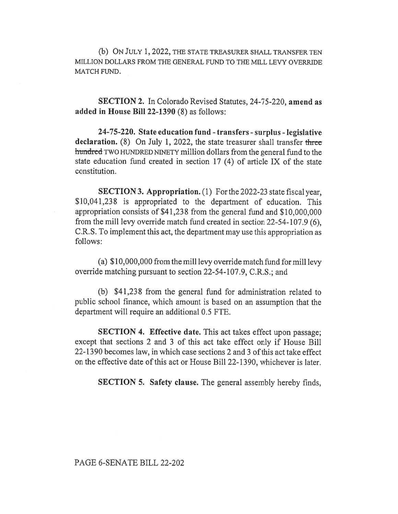(b) ON JULY 1, 2022, THE STATE TREASURER SHALL TRANSFER TEN MILLION DOLLARS FROM THE GENERAL FUND TO THE MILL LEVY OVERRIDE MATCH FUND.

SECTION 2. In Colorado Revised Statutes, 24-75-220, amend as added in House Bill 22-1390 (8) as follows:

24-75-220. State education fund - transfers - surplus - legislative declaration.  $(8)$  On July 1, 2022, the state treasurer shall transfer three hundred TWO HUNDRED NINETY million dollars from the general fund to the state education fund created in section 17 (4) of article IX of the state constitution.

SECTION 3. Appropriation. (1) For the 2022-23 state fiscal year, \$10,041,238 is appropriated to the department of education. This appropriation consists of \$41,238 from the general fund and \$10,000,000 from the mill levy override match fund created in section 22-54-107.9 (6), C.R.S. To implement this act, the department may use this appropriation as follows:

(a) \$10,000,000 from the mill levy override match fund for mill levy override matching pursuant to section 22-54-107.9, C.R.S.; and

(b) \$41,238 from the general fund for administration related to public school finance, which amount is based on an assumption that the department will require an additional 0.5 FTE.

SECTION 4. Effective date. This act takes effect upon passage; except that sections 2 and 3 of this act take effect only if House Bill 22-1390 becomes law, in which case sections 2 and 3 of this act take effect on the effective date of this act or House Bill 22-1390, whichever is later.

SECTION 5. Safety clause. The general assembly hereby finds,